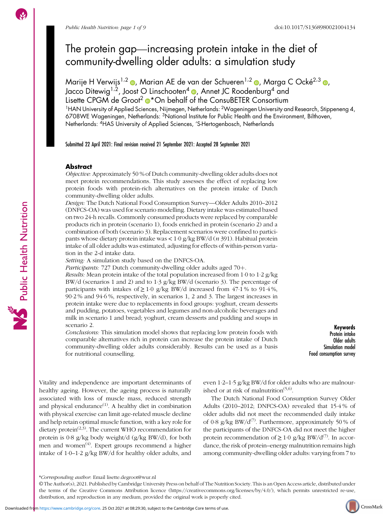# Public Health Nutrition: page 1 of 9<br>The protein gap—increasing protein intake in the diet of community-dwelling older adults: a simulation study

Marije H Verwijs<sup>1[,](https://orcid.org/0000-0003-1299-6135)2</sup>  $\bullet$ , Marian AE de van der Schueren<sup>1,2</sup>  $\bullet$ , Marga C Ocké<sup>2,3</sup>  $\bullet$ Jacco Ditewig<sup>1[,](https://orcid.org/0000-0001-6832-3701)2</sup>, Joost O Linschooten<sup>4</sup>  $\bullet$ , Annet JC Roodenburg<sup>4</sup> and Lisette CPGM de Groot<sup>2</sup> <sup>\*</sup>On behalf of the ConsuBETER Consortium 1HAN University of Applied Sciences, Nijmegen, Netherlands: 2Wageningen University and Research, Stippeneng 4, 6708WE Wageningen, Netherlands: 3National Institute for Public Health and the Environment, Bilthoven, Netherlands: 4HAS University of Applied Sciences, 'S-Hertogenbosch, Netherlands

Submitted 22 April 2021: Final revision received 21 September 2021: Accepted 28 September 2021

### Abstract

Objective: Approximately 50 % of Dutch community-dwelling older adults does not meet protein recommendations. This study assesses the effect of replacing low protein foods with protein-rich alternatives on the protein intake of Dutch community-dwelling older adults.

Design: The Dutch National Food Consumption Survey—Older Adults 2010–<sup>2012</sup> (DNFCS-OA) was used for scenario modelling. Dietary intake was estimated based on two 24-h recalls. Commonly consumed products were replaced by comparable products rich in protein (scenario 1), foods enriched in protein (scenario 2) and a combination of both (scenario 3). Replacement scenarios were confined to participants whose dietary protein intake was < 1·0 g/kg BW/d (n 391). Habitual protein intake of all older adults was estimated, adjusting for effects of within-person variation in the 2-d intake data.

Setting: A simulation study based on the DNFCS-OA.

Participants: 727 Dutch community-dwelling older adults aged 70+.

Results: Mean protein intake of the total population increased from 1·0 to 1·2 g/kg BW/d (scenarios 1 and 2) and to 1·3 g/kg BW/d (scenario 3). The percentage of participants with intakes of  $\geq 1.0$  g/kg BW/d increased from 47.1% to 91.4%, 90·2 % and 94·6 %, respectively, in scenarios 1, 2 and 3. The largest increases in protein intake were due to replacements in food groups: yoghurt, cream desserts and pudding, potatoes, vegetables and legumes and non-alcoholic beverages and milk in scenario 1 and bread; yoghurt, cream desserts and pudding and soups in scenario 2.

Conclusions: This simulation model shows that replacing low protein foods with comparable alternatives rich in protein can increase the protein intake of Dutch community-dwelling older adults considerably. Results can be used as a basis for nutritional counselling.

Keywords Protein intake Older adults Simulation model Food consumption survey

Vitality and independence are important determinants of healthy ageing. However, the ageing process is naturally associated with loss of muscle mass, reduced strength and physical endurance $^{(1)}$  $^{(1)}$  $^{(1)}$ . A healthy diet in combination with physical exercise can limit age-related muscle decline and help retain optimal muscle function, with a key role for dietary protein<sup> $(2,3)$  $(2,3)$  $(2,3)$  $(2,3)$ </sup>. The current WHO recommendation for protein is 0·8 g/kg body weight/d (g/kg BW/d), for both men and women<sup>([4](#page-7-0))</sup>. Expert groups recommend a higher intake of 1·0–1·2 g/kg BW/d for healthy older adults, and even 1·2–1·5 g/kg BW/d for older adults who are malnourished or at risk of malnutrition $(5,6)$ .

The Dutch National Food Consumption Survey Older Adults (2010–2012; DNFCS-OA) revealed that 15·4 % of older adults did not meet the recommended daily intake of 0·8 g/kg BW/d<sup>([7](#page-7-0))</sup>. Furthermore, approximately 50 % of the participants of the DNFCS-OA did not meet the higher protein recommendation of  $\geq 1.0$  g/kg BW/d<sup>[\(7\)](#page-7-0)</sup>. In accordance, the risk of protein–energy malnutrition remains high among community-dwelling older adults: varying from 7 to



<sup>\*</sup>Corresponding author: Email [lisette.degroot@wur.nl](mailto:lisette.degroot@wur.nl)

<sup>©</sup> The Author(s), 2021. Published by Cambridge University Press on behalf of The Nutrition Society. This is an Open Access article, distributed under the terms of the Creative Commons Attribution licence [\(https://creativecommons.org/licenses/by/4.0/\)](https://creativecommons.org/licenses/by/4.0/), which permits unrestricted re-use, distribution, and reproduction in any medium, provided the original work is properly cited.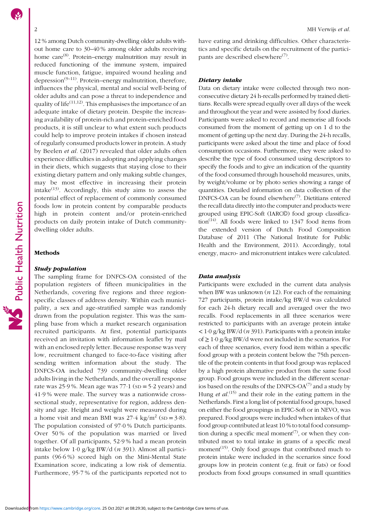# Public Health Nutrition

12 % among Dutch community-dwelling older adults without home care to 30–40 % among older adults receiving home care<sup>[\(8](#page-7-0))</sup>. Protein–energy malnutrition may result in reduced functioning of the immune system, impaired muscle function, fatigue, impaired wound healing and depression<sup> $(9-11)$  $(9-11)$  $(9-11)$  $(9-11)$  $(9-11)$ </sup>. Protein–energy malnutrition, therefore, influences the physical, mental and social well-being of older adults and can pose a threat to independence and quality of life $(11,12)$  $(11,12)$  $(11,12)$ . This emphasises the importance of an adequate intake of dietary protein. Despite the increasing availability of protein-rich and protein-enriched food products, it is still unclear to what extent such products could help to improve protein intakes if chosen instead of regularly consumed products lower in protein. A study by Beelen et al. (2017) revealed that older adults often experience difficulties in adopting and applying changes in their diets, which suggests that staying close to their existing dietary pattern and only making subtle changes, may be most effective in increasing their protein intake $(13)$  $(13)$ . Accordingly, this study aims to assess the potential effect of replacement of commonly consumed foods low in protein content by comparable products high in protein content and/or protein-enriched products on daily protein intake of Dutch communitydwelling older adults.

## Methods

### Study population

The sampling frame for DNFCS-OA consisted of the population registers of fifteen municipalities in the Netherlands, covering five regions and three regionspecific classes of address density. Within each municipality, a sex and age-stratified sample was randomly drawn from the population register. This was the sampling base from which a market research organisation recruited participants. At first, potential participants received an invitation with information leaflet by mail with an enclosed reply letter. Because response was very low, recruitment changed to face-to-face visiting after sending written information about the study. The DNFCS-OA included 739 community-dwelling older adults living in the Netherlands, and the overall response rate was  $25.9$ %. Mean age was  $77.1$  (sp =  $5.2$  years) and 41·9 % were male. The survey was a nationwide crosssectional study, representative for region, address density and age. Height and weight were measured during a home visit and mean BMI was  $27.4 \text{ kg/m}^2$  (sp = 3.8). The population consisted of 97·0 % Dutch participants. Over 50 % of the population was married or lived together. Of all participants, 52·9 % had a mean protein intake below 1·0 g/kg BW/d (n 391). Almost all participants (96·6 %) scored high on the Mini-Mental State Examination score, indicating a low risk of dementia. Furthermore, 95·7 % of the participants reported not to have eating and drinking difficulties. Other characteristics and specific details on the recruitment of the partici-pants are described elsewhere<sup>[\(7\)](#page-7-0)</sup>.

### Dietary intake

Data on dietary intake were collected through two nonconsecutive dietary 24 h-recalls performed by trained dietitians. Recalls were spread equally over all days of the week and throughout the year and were assisted by food diaries. Participants were asked to record and memorise all foods consumed from the moment of getting up on 1 d to the moment of getting up the next day. During the 24-h recalls, participants were asked about the time and place of food consumption occasions. Furthermore, they were asked to describe the type of food consumed using descriptors to specify the foods and to give an indication of the quantity of the food consumed through household measures, units, by weight/volume or by photo series showing a range of quantities. Detailed information on data collection of the DNFCS-OA can be found elsewhere<sup>([7](#page-7-0))</sup>. Dietitians entered the recall data directly into the computer and products were grouped using EPIC-Soft (IARC©) food group classifica-tion<sup>[\(14\)](#page-7-0)</sup>. All foods were linked to 1347 food items from the extended version of Dutch Food Composition Database of 2011 (The National Institute for Public Health and the Environment, 2011). Accordingly, total energy, macro- and micronutrient intakes were calculated.

### Data analysis

Participants were excluded in the current data analysis when BW was unknown  $(n 12)$ . For each of the remaining 727 participants, protein intake/kg BW/d was calculated for each 24-h dietary recall and averaged over the two recalls. Food replacements in all three scenarios were restricted to participants with an average protein intake  $<$  1·0 g/kg BW/d (n 391). Participants with a protein intake of  $\geq 1.0$  g/kg BW/d were not included in the scenarios. For each of three scenarios, every food item within a specific food group with a protein content below the 75th percentile of the protein contents in that food group was replaced by a high protein alternative product from the same food group. Food groups were included in the different scenarios based on the results of the DNFCS-OA $^{(7)}$  $^{(7)}$  $^{(7)}$  and a study by Hung *et al.*<sup>[\(15\)](#page-7-0)</sup> and their role in the eating pattern in the Netherlands. First a long list of potential food groups, based on either the food groupings in EPIC-Soft or in NEVO, was prepared. Food groups were included when intakes of that food group contributed at least 10 % to total food consumption during a specific meal moment<sup> $(7)$  $(7)$ </sup>, or when they contributed most to total intake in grams of a specific meal moment<sup>([15\)](#page-7-0)</sup>. Only food groups that contributed much to protein intake were included in the scenarios since food groups low in protein content (e.g. fruit or fats) or food products from food groups consumed in small quantities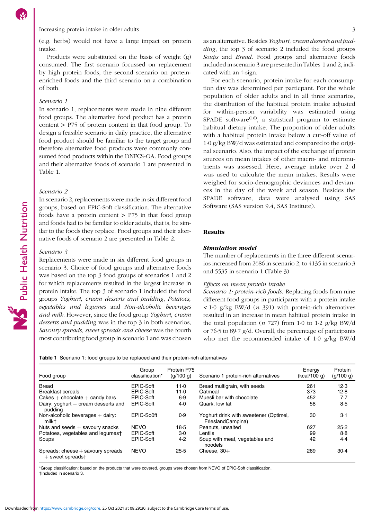(e.g. herbs) would not have a large impact on protein intake.

Products were substituted on the basis of weight (g) consumed. The first scenario focussed on replacement by high protein foods, the second scenario on proteinenriched foods and the third scenario on a combination of both.

### Scenario 1

In scenario 1, replacements were made in nine different food groups. The alternative food product has a protein content > P75 of protein content in that food group. To design a feasible scenario in daily practice, the alternative food product should be familiar to the target group and therefore alternative food products were commonly consumed food products within the DNFCS-OA. Food groups and their alternative foods of scenario 1 are presented in Table 1.

### Scenario 2

In scenario 2, replacements were made in six different food groups, based on EPIC-Soft classification. The alternative foods have a protein content  $>$  P75 in that food group and foods had to be familiar to older adults, that is, be similar to the foods they replace. Food groups and their alternative foods of scenario 2 are presented in Table [2.](#page-3-0)

### Scenario 3

Replacements were made in six different food groups in scenario 3. Choice of food groups and alternative foods was based on the top 3 food groups of scenarios 1 and 2 for which replacements resulted in the largest increase in protein intake. The top 3 of scenario 1 included the food groups Yoghurt, cream desserts and pudding, Potatoes, vegetables and legumes and Non-alcoholic beverages and milk. However, since the food group Yoghurt, cream desserts and pudding was in the top 3 in both scenarios, Savoury spreads, sweet spreads and cheese was the fourth most contributing food group in scenario 1 and was chosen as an alternative. Besides Yoghurt, cream desserts and pudding, the top 3 of scenario 2 included the food groups Soups and Bread. Food groups and alternative foods included in scenario 3 are presented in Tables 1 and [2](#page-3-0), indicated with an †-sign.

For each scenario, protein intake for each consumption day was determined per particpant. For the whole population of older adults and in all three scenarios, the distribution of the habitual protein intake adjusted for within-person variability was estimated using SPADE software<sup>[\(16](#page-7-0))</sup>, a statistical program to estimate habitual dietary intake. The proportion of older adults with a habitual protein intake below a cut-off value of 1·0 g/kg BW/d was estimated and compared to the original scenario. Also, the impact of the exchange of protein sources on mean intakes of other macro- and micronutrients was assessed. Here, average intake over 2 d was used to calculate the mean intakes. Results were weighed for socio-demographic deviances and deviances in the day of the week and season. Besides the SPADE software, data were analysed using SAS Software (SAS version 9.4, SAS Institute).

### Results

## Simulation model

The number of replacements in the three different scenarios increased from 2686 in scenario 2, to 4135 in scenario 3 and 5535 in scenario 1 (Table [3](#page-4-0)).

### Effects on mean protein intake

Scenario 1: protein-rich foods. Replacing foods from nine different food groups in participants with a protein intake  $\langle 1.0 \rangle$  g/kg BW/d  $(n \frac{391}{})$  with protein-rich alternatives resulted in an increase in mean habitual protein intake in the total population  $(n \ 727)$  from 1.0 to 1.2 g/kg BW/d or 76·5 to 89·7 g/d. Overall, the percentage of participants who met the recommended intake of 1·0 g/kg BW/d

Table 1 Scenario 1: food groups to be replaced and their protein-rich alternatives

| Food group                                                | Group<br>classification* | Protein P75<br>(q/100 q) | Scenario 1 protein-rich alternatives                        | Energy<br>(kcal/100 q) | Protein<br>(g/100 g) |
|-----------------------------------------------------------|--------------------------|--------------------------|-------------------------------------------------------------|------------------------|----------------------|
| <b>Bread</b>                                              | EPIC-Soft                | 11.0                     | Bread multigrain, with seeds                                | 261                    | 12.3                 |
| <b>Breakfast cereals</b>                                  | EPIC-Soft                | 11.0                     | Oatmeal                                                     | 373                    | 12.8                 |
| Cakes $+$ chocolate $+$ candy bars                        | EPIC-Soft                | 6.9                      | Muesli bar with chocolate                                   | 452                    | 7.7                  |
| Dairy: yoghurt $+$ cream desserts and<br>puddina          | EPIC-Soft                | 4.0                      | Quark. low fat                                              | 58                     | 8.5                  |
| Non-alcoholic beverages $+$ dairy:<br>milkt               | EPIC-So0ft               | 0.9                      | Yoghurt drink with sweetener (Optimel,<br>FrieslandCampina) | 30                     | 3.1                  |
| Nuts and seeds $+$ savoury snacks                         | <b>NEVO</b>              | 18.5                     | Peanuts, unsalted                                           | 627                    | 25.2                 |
| Potatoes, vegetables and legumest                         | EPIC-Soft                | $3-0$                    | Lentils                                                     | 99                     | 8.8                  |
| Soups                                                     | EPIC-Soft                | 4.2                      | Soup with meat, vegetables and<br>noodels                   | 42                     | 4.4                  |
| Spreads: $cheese + sawoury$ spreads<br>$+$ sweet spreadst | <b>NEVO</b>              | 25.5                     | Cheese, $30+$                                               | 289                    | $30-4$               |

\*Group classification: based on the products that were covered, groups were chosen from NEVO of EPIC-Soft classification. †Included in scenario 3.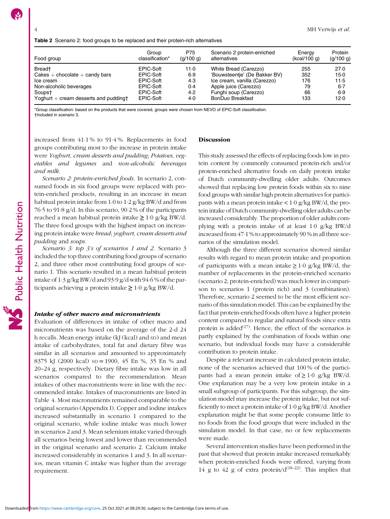Public Health Nutrition

<span id="page-3-0"></span>

| Food group                                       | Group<br>classification* | P75<br>(q/100 q) | Scenario 2 protein-enriched<br>alternatives | Energy<br>(kcal/100 g) | Protein<br>(g/100 g) |
|--------------------------------------------------|--------------------------|------------------|---------------------------------------------|------------------------|----------------------|
| Bread <sup>+</sup>                               | EPIC-Soft                | 11.0             | White Bread (Carezzo)                       | 255                    | 27.0                 |
| $Cakes + chocolate + candy bars$                 | EPIC-Soft                | 6.9              | 'Bouwsteentje' (De Bakker BV)               | 352                    | $15-0$               |
| Ice cream                                        | EPIC-Soft                | 4.3              | Ice cream, vanilla (Carezzo)                | 176                    | 11.5                 |
| Non-alcoholic beverages                          | EPIC-Soft                | 0.4              | Apple juice (Carezzo)                       | 79                     | $6 - 7$              |
| Soupst                                           | EPIC-Soft                | 4.2              | Funghi soup (Carezzo)                       | 66                     | 6.9                  |
| Yoghurt $+$ cream desserts and pudding $\dagger$ | EPIC-Soft                | 4.0              | <b>BonDuo Breakfast</b>                     | 133                    | 12.0                 |

\*Group classification: based on the products that were covered, groups were chosen from NEVO of EPIC-Soft classification. †Included in scenario 3.

increased from 41·1 % to 91·4 %. Replacements in food groups contributing most to the increase in protein intake were Yoghurt, cream desserts and pudding; Potatoes, vegetables and legumes and non-alcoholic beverages and milk.

Scenario 2: protein-enriched foods. In scenario 2, consumed foods in six food groups were replaced with protein-enriched products, resulting in an increase in mean habitual protein intake from 1·0 to 1·2 g/kg BW/d and from 76·5 to 91·8 g/d. In this scenario, 90·2 % of the participants reached a mean habitual protein intake  $\geq 1.0$  g/kg BW/d. The three food groups with the highest impact on increasing protein intake were bread; yoghurt, cream desserts and pudding and soups.

Scenario 3: top 3's of scenarios 1 and 2. Scenario 3 included the top three contributing food groups of scenario 2, and three other most contributing food groups of scenario 1. This scenario resulted in a mean habitual protein intake of 1·3 g/kg BW/d and 93·9 g/d with 94·6 % of the participants achieving a protein intake  $\geq 1.0$  g/kg BW/d.

### Intake of other macro and micronutrients

Evaluation of differences in intake of other macro and micronutrients was based on the average of the 2-d 24 h recalls. Mean energy intake (kJ (kcal) and sD) and mean intake of carbohydrates, total fat and dietary fibre was similar in all scenarios and amounted to approximately 8375 kJ (2000 kcal) SD = 1900, 45 En %, 35 En % and 20–24 g, respectively. Dietary fibre intake was low in all scenarios compared to the recommendation. Mean intakes of other macronutrients were in line with the recommended intake. Intakes of macronutrients are listed in Table [4](#page-5-0). Most micronutrients remained comparable to the original scenario (Appendix [I](https://doi.org/10.1017/S1368980021004134)). Copper and iodine intakes increased substantially in scenario 1 compared to the original scenario, while iodine intake was much lower in scenarios 2 and 3. Mean selenium intake varied through all scenarios being lowest and lower than recommended in the original scenario and scenario 2. Calcium intake increased considerably in scenarios 1 and 3. In all scenarios, mean vitamin C intake was higher than the average requirement.

### Discussion

This study assessed the effects of replacing foods low in protein content by commonly consumed protein-rich and/or protein-enriched alternative foods on daily protein intake of Dutch community-dwelling older adults. Outcomes showed that replacing low protein foods within six to nine food groups with similar high protein alternatives for participants with a mean protein intake  $< 1.0$  g/kg BW/d, the protein intake of Dutch community-dwelling older adults can be increased considerably. The proportion of older adults complying with a protein intake of at least 1·0 g/kg BW/d increased from 47·1 % to approximately 90 % in all three scenarios of the simulation model.

Although the three different scenarios showed similar results with regard to mean protein intake and proportion of participants with a mean intake  $\geq 1.0$  g/kg BW/d, the number of replacements in the protein-enriched scenario (scenario 2; protein-enriched) was much lower in comparison to scenarios 1 (protein rich) and 3 (combination). Therefore, scenario 2 seemed to be the most efficient scenario of this simulation model. This can be explained by the fact that protein-enriched foods often have a higher protein content compared to regular and natural foods since extra protein is added<sup> $(17)$  $(17)$  $(17)$ </sup>. Hence, the effect of the scenarios is partly explained by the combination of foods within one scenario, but individual foods may have a considerable contribution to protein intake.

Despite a relevant increase in calculated protein intake, none of the scenarios achieved that 100 % of the participants had a mean protein intake of  $\geq 1.0$  g/kg BW/d. One explanation may be a very low protein intake in a small subgroup of participants. For this subgroup, the simulation model may increase the protein intake, but not sufficiently to meet a protein intake of 1·0 g/kg BW/d. Another explanation might be that some people consume little to no foods from the food groups that were included in the simulation model. In that case, no or few replacements were made.

Several intervention studies have been performed in the past that showed that protein intake increased remarkably when protein-enriched foods were offered, varying from 14 g to 42 g of extra protein/ $d^{(18-22)}$  $d^{(18-22)}$  $d^{(18-22)}$  $d^{(18-22)}$  $d^{(18-22)}$ . This implies that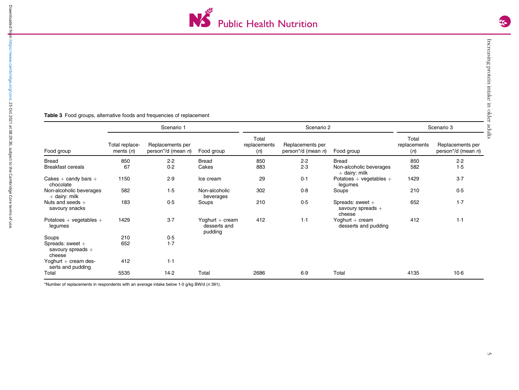

### <span id="page-4-0"></span>**Table 3** Food groups, alternative foods and frequencies of replacement

|                                                   | Scenario 1                    |                                                |                                              | Scenario 2                   |                                        |                                                     | Scenario 3                   |                                        |
|---------------------------------------------------|-------------------------------|------------------------------------------------|----------------------------------------------|------------------------------|----------------------------------------|-----------------------------------------------------|------------------------------|----------------------------------------|
| Food group                                        | Total replace-<br>ments $(n)$ | Replacements per<br>person*/d (mean <i>n</i> ) | Food group                                   | Total<br>replacements<br>(n) | Replacements per<br>person*/d (mean n) | Food group                                          | Total<br>replacements<br>(n) | Replacements per<br>person*/d (mean n) |
| <b>Bread</b>                                      | 850                           | 2.2                                            | <b>Bread</b>                                 | 850                          | 2.2                                    | <b>Bread</b>                                        | 850                          | 2.2                                    |
| <b>Breakfast cereals</b>                          | 67                            | 0.2                                            | Cakes                                        | 883                          | 2.3                                    | Non-alcoholic beverages<br>$+$ dairy: milk          | 582                          | 1.5                                    |
| Cakes $+$ candy bars $+$<br>chocolate             | 1150                          | 2.9                                            | Ice cream                                    | 29                           | 0.1                                    | Potatoes + vegetables +<br>legumes                  | 1429                         | $3-7$                                  |
| Non-alcoholic beverages<br>$+$ dairy: milk        | 582                           | 1.5                                            | Non-alcoholic<br>beverages                   | 302                          | 0.8                                    | Soups                                               | 210                          | 0.5                                    |
| Nuts and seeds $+$<br>savoury snacks              | 183                           | 0.5                                            | Soups                                        | 210                          | 0.5                                    | Spreads: sweet $+$<br>savoury spreads $+$<br>cheese | 652                          | $1-7$                                  |
| Potatoes $+$ vegetables $+$<br>legumes            | 1429                          | 3.7                                            | Yoghurt $+$ cream<br>desserts and<br>pudding | 412                          | 1.1                                    | Yoghurt $+$ cream<br>desserts and pudding           | 412                          | 1.1                                    |
| Soups                                             | 210                           | 0.5                                            |                                              |                              |                                        |                                                     |                              |                                        |
| Spreads: sweet +<br>savoury spreads $+$<br>cheese | 652                           | 1.7                                            |                                              |                              |                                        |                                                     |                              |                                        |
| Yoghurt $+$ cream des-<br>serts and pudding       | 412                           | 1.1                                            |                                              |                              |                                        |                                                     |                              |                                        |
| Total                                             | 5535                          | 14.2                                           | Total                                        | 2686                         | 6.9                                    | Total                                               | 4135                         | $10-6$                                 |

\*Number of replacements in respondents with an average intake below 1·0 g/kg BW/d (<sup>n</sup> 391).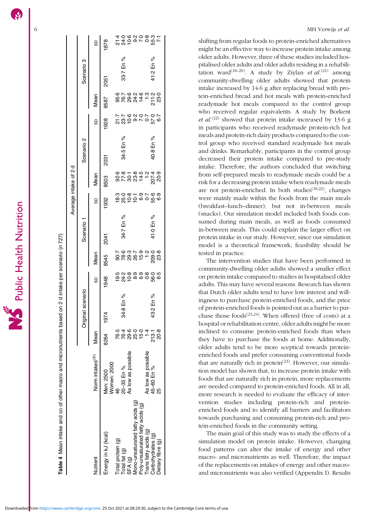<span id="page-5-0"></span>

|                   |                   |                              |                                                                   |                                        | MH Verwijs et al.                                                                                                                                         |
|-------------------|-------------------|------------------------------|-------------------------------------------------------------------|----------------------------------------|-----------------------------------------------------------------------------------------------------------------------------------------------------------|
|                   |                   | 9                            | 8 8 5 9 7 9 8 7<br>4 9 9 7 9 8 9 7<br>4 9 6 9 9 9 9 9 7<br>1878   |                                        | shifting from regular foods to protein-enriched alternatives<br>might be an effective way to increase protein intake among                                |
|                   | ო                 |                              |                                                                   |                                        | older adults. However, three of these studies included hos-                                                                                               |
|                   | Scenario          |                              | 33-7 En %                                                         | 41-2 En %                              | pitalised older adults and older adults residing in a rehabili-<br>tation ward <sup>(18-20)</sup> . A study by Ziylan <i>et al.</i> <sup>(21)</sup> among |
|                   |                   |                              | 2051                                                              |                                        | community-dwelling older adults showed that protein                                                                                                       |
|                   |                   |                              |                                                                   |                                        | intake increased by 14.6 g after replacing bread with pro-                                                                                                |
|                   |                   | Mean                         | 8587                                                              |                                        | tein-enriched bread and hot meals with protein-enriched                                                                                                   |
|                   |                   |                              |                                                                   |                                        | readymade hot meals compared to the control group<br>who received regular equivalents. A study by Borkent                                                 |
|                   |                   | 9                            | というとうていていいかい しょうしょう                                               |                                        | <i>et al.</i> <sup>(22)</sup> showed that protein intake increased by 13.6 g                                                                              |
|                   |                   |                              | 1928                                                              |                                        | in participants who received readymade protein-rich hot                                                                                                   |
|                   | $\mathbf{\Omega}$ |                              |                                                                   |                                        | meals and protein-rich dairy products compared to the con-                                                                                                |
|                   |                   |                              | 34.5 En %                                                         | 40-8 En %                              | trol group who received standard readymade hot meals                                                                                                      |
|                   | Scenario          |                              | 2031                                                              |                                        | and drinks. Remarkably, participants in the control group<br>decreased their protein intake compared to pre-study                                         |
| ত                 |                   |                              |                                                                   |                                        | intake. Therefore, the authors concluded that switching                                                                                                   |
| $\mathbf{\alpha}$ |                   | Mean                         |                                                                   |                                        | from self-prepared meals to readymade meals could be a                                                                                                    |
| Average intake of |                   |                              | 8503                                                              |                                        | risk for a decreasing protein intake when readymade meals<br>are not protein-enriched. In both studies <sup>(18,22)</sup> , changes                       |
|                   |                   |                              | စ္ ၁ စံ – ၁ ၉ ၉ ၉<br>ယံ ၁ ၁ ၉ ၉ ၉ ၉ ၉ ၉                           |                                        | were mainly made within the foods from the main meals                                                                                                     |
|                   |                   | 9                            | 932                                                               |                                        | (breakfast-lunch-dinner), but not in-between meals                                                                                                        |
|                   |                   |                              |                                                                   |                                        | (snacks). Our simulation model included both foods con-                                                                                                   |
|                   | Scenario 1        |                              | 34.7 En %                                                         | 41.0 En %                              | sumed during main meals, as well as foods consumed                                                                                                        |
|                   |                   |                              | 2041                                                              |                                        | in-between meals. This could explain the larger effect on<br>protein intake in our study. However, since our simulation                                   |
|                   |                   |                              |                                                                   |                                        | model is a theoretical framework, feasibility should be                                                                                                   |
|                   | Mean              |                              | 5 6 7 7 9 7 9 7 9 7<br>2 7 9 7 9 7 9 7 9 7<br>2 7 9 7 9 7 9 7 9 7 |                                        | tested in practice.                                                                                                                                       |
|                   |                   |                              | 8545                                                              |                                        | The intervention studies that have been performed in                                                                                                      |
|                   |                   |                              | ပ်<br>ပဲ ( ) ထဲ စဲ စဲ စဲ ဇို စု<br>ပဲ ( ) စဲ စဲ စဲ ဇို စု         |                                        | community-dwelling older adults showed a smaller effect<br>on protein intake compared to studies in hospitalised older                                    |
|                   |                   | GD                           | 1948                                                              |                                        | adults. This may have several reasons. Research has shown                                                                                                 |
|                   |                   |                              |                                                                   |                                        | that Dutch older adults tend to have low interest and will-                                                                                               |
|                   |                   |                              | 34-8 En %                                                         | 43-2 En %                              | ingness to purchase protein-enriched foods, and the price<br>of protein-enriched foods is pointed out as a barrier to pur-                                |
|                   | Original scenario |                              | 974                                                               |                                        | chase those foods <sup><math>(23,24)</math></sup> . When offered (free of costs) at a                                                                     |
|                   |                   |                              |                                                                   |                                        | hospital or rehabilitation centre, older adults might be more                                                                                             |
|                   |                   | Mean                         | アア 8 8 5 1<br>6 6 9 8 5 1<br>1 9 0 0 1                            | 213.1<br>20.8                          | inclined to consume protein-enriched foods than when                                                                                                      |
|                   |                   |                              | 8264                                                              |                                        | they have to purchase the foods at home. Additionally,<br>older adults tend to be more sceptical towards protein-                                         |
|                   |                   |                              |                                                                   |                                        | enriched foods and prefer consuming conventional foods                                                                                                    |
|                   |                   | Norm intakes <sup>(31)</sup> | As low as possible                                                | As low as possible<br>45–60 En %<br>25 | that are naturally rich in protein <sup>(23)</sup> . However, our simula-                                                                                 |
|                   |                   |                              |                                                                   |                                        | tion model has shown that, to increase protein intake with                                                                                                |
|                   |                   |                              | Men: 2500<br>Women: 2000<br>46<br>20-35 En %                      |                                        | foods that are naturally rich in protein, more replacements                                                                                               |
|                   |                   |                              |                                                                   |                                        | are needed compared to protein-enriched foods. All in all,<br>more research is needed to evaluate the efficacy of inter-                                  |
|                   |                   |                              |                                                                   |                                        | vention studies including protein-rich and protein-                                                                                                       |
|                   |                   |                              | Mono-unsaturated fatty acids (g)<br>acids (g)                     |                                        | enriched foods and to identify all barriers and facilitators                                                                                              |
|                   |                   |                              |                                                                   |                                        | towards purchasing and consuming protein-rich and pro-                                                                                                    |
|                   |                   |                              | Poly-unsaturated fatty                                            |                                        | tein-enriched foods in the community setting.<br>The main goal of this study was to study the effects of a                                                |
|                   |                   |                              | Energy in kJ (kcal)                                               | Carbohydrates (g)<br>Trans fatty acids | simulation model on protein intake. However, changing                                                                                                     |
|                   |                   |                              |                                                                   |                                        | food patterns can alter the intake of energy and other                                                                                                    |
|                   |                   |                              | Total protein (g)<br>Total fat (g)                                | Dietary fibre (g)                      | macro- and micronutrients as well. Therefore, the impact                                                                                                  |
|                   |                   | Nutrient                     | SFA <sub>(g)</sub>                                                |                                        | of the replacements on intakes of energy and other macro-<br>and micronutrients was also verified (Appendix I). Results                                   |
|                   |                   |                              |                                                                   |                                        |                                                                                                                                                           |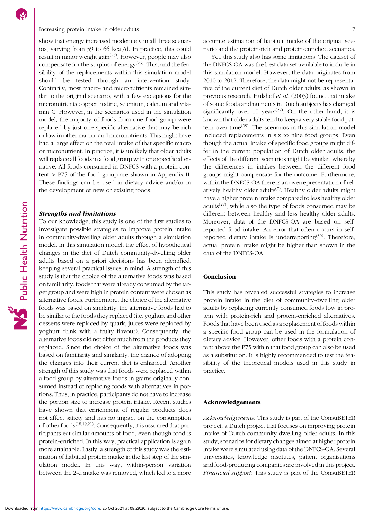## Increasing protein intake in older adults 7

show that energy increased moderately in all three scenarios, varying from 59 to 66 kcal/d. In practice, this could result in minor weight gain<sup> $(25)$  $(25)$ </sup>. However, people may also compensate for the surplus of energy<sup> $(26)$  $(26)$ </sup>. This, and the feasibility of the replacements within this simulation model should be tested through an intervention study. Contrarily, most macro- and micronutrients remained similar to the original scenario, with a few exceptions for the micronutrients copper, iodine, selenium, calcium and vitamin C. However, in the scenarios used in the simulation model, the majority of foods from one food group were replaced by just one specific alternative that may be rich or low in other macro- and micronutrients. This might have had a large effect on the total intake of that specific macro or micronutrient. In practice, it is unlikely that older adults will replace all foods in a food group with one specific alternative. All foods consumed in DNFCS with a protein content  $>$  P75 of the food group are shown in Appendix [II.](https://doi.org/10.1017/S1368980021004134) These findings can be used in dietary advice and/or in the development of new or existing foods.

### Strengths and limitations

To our knowledge, this study is one of the first studies to investigate possible strategies to improve protein intake in community-dwelling older adults through a simulation model. In this simulation model, the effect of hypothetical changes in the diet of Dutch community-dwelling older adults based on a priori decisions has been identified, keeping several practical issues in mind. A strength of this study is that the choice of the alternative foods was based on familiarity: foods that were already consumed by the target group and were high in protein content were chosen as alternative foods. Furthermore, the choice of the alternative foods was based on similarity: the alternative foods had to be similar to the foods they replaced (i.e. yoghurt and other desserts were replaced by quark, juices were replaced by yoghurt drink with a fruity flavour). Consequently, the alternative foods did not differ much from the products they replaced. Since the choice of the alternative foods was based on familiarity and similarity, the chance of adopting the changes into their current diet is enhanced. Another strength of this study was that foods were replaced within a food group by alternative foods in grams originally consumed instead of replacing foods with alternatives in portions. Thus, in practice, participants do not have to increase the portion size to increase protein intake. Recent studies have shown that enrichment of regular products does not affect satiety and has no impact on the consumption of other foods<sup>[\(18](#page-7-0),[19](#page-7-0),[21\)](#page-7-0)</sup>. Consequently, it is assumed that participants eat similar amounts of food, even though food is protein-enriched. In this way, practical application is again more attainable. Lastly, a strength of this study was the estimation of habitual protein intake in the last step of the simulation model. In this way, within-person variation between the 2-d intake was removed, which led to a more

accurate estimation of habitual intake of the original scenario and the protein-rich and protein-enriched scenarios.

Yet, this study also has some limitations. The dataset of the DNFCS-OA was the best data set available to include in this simulation model. However, the data originates from 2010 to 2012. Therefore, the data might not be representative of the current diet of Dutch older adults, as shown in previous research. Hulshof et al. (2003) found that intake of some foods and nutrients in Dutch subjects has changed significantly over 10 years<sup> $(27)$ </sup>. On the other hand, it is known that older adults tend to keep a very stable food pattern over time<sup> $(28)$  $(28)$  $(28)$ </sup>. The scenarios in this simulation model included replacements in six to nine food groups. Even though the actual intake of specific food groups might differ in the current population of Dutch older adults, the effects of the different scenarios might be similar, whereby the differences in intakes between the different food groups might compensate for the outcome. Furthermore, within the DNFCS-OA there is an overrepresentation of relatively healthy older adults<sup> $(7)$  $(7)$  $(7)$ </sup>. Healthy older adults might have a higher protein intake compared to less healthy older adults $(29)$  $(29)$  $(29)$ , while also the type of foods consumed may be different between healthy and less healthy older adults. Moreover, data of the DNFCS-OA are based on selfreported food intake. An error that often occurs in self-reported dietary intake is underreporting<sup>([30\)](#page-8-0)</sup>. Therefore, actual protein intake might be higher than shown in the data of the DNFCS-OA.

### Conclusion

This study has revealed successful strategies to increase protein intake in the diet of community-dwelling older adults by replacing currently consumed foods low in protein with protein-rich and protein-enriched alternatives. Foods that have been used as a replacement of foods within a specific food group can be used in the formulation of dietary advice. However, other foods with a protein content above the P75 within that food group can also be used as a substitution. It is highly recommended to test the feasibility of the theoretical models used in this study in practice.

### Acknowledgements

Acknowledgements: This study is part of the ConsuBETER project, a Dutch project that focuses on improving protein intake of Dutch community-dwelling older adults. In this study, scenarios for dietary changes aimed at higher protein intake were simulated using data of the DNFCS-OA. Several universities, knowledge institutes, patient organisations and food-producing companies are involved in this project. Financial support: This study is part of the ConsuBETER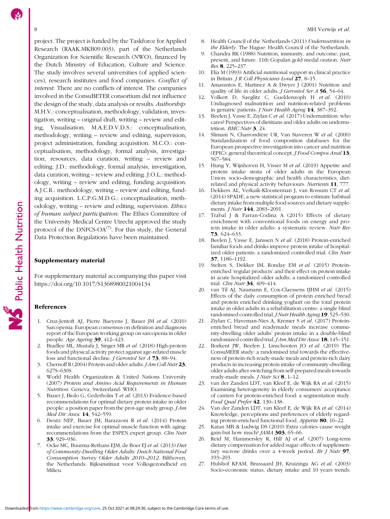# Public Health Nutrition

<span id="page-7-0"></span>project. The project is funded by the Taskforce for Applied Research (RAAK.MKB09.003), part of the Netherlands Organization for Scientific Research (NWO), financed by the Dutch Ministry of Education, Culture and Science. The study involves several universities (of applied sciences), research institutes and food companies. Conflict of interest: There are no conflicts of interest. The companies involved in the ConsuBETER consortium did not influence the design of the study, data analysis or results. Authorship: M.H.V.: conceptualisation, methodology, validation, investigation, writing – original draft, writing – review and editing, Visualisation. M.A.E.D.V.D.S.: conceptualisation, methodology, writing – review and editing, supervision, project administration, funding acquisition. M.C.O.: conceptualisation, methodology, formal analysis, investigation, resources, data curation, writing – review and editing. J.D.: methodology, formal analysis, investigation, data curation, writing – review and editing. J.O.L.: methodology, writing – review and editing, funding acquisition. A.J.C.R.: methodology, writing – review and editing, funding acquisition. L.C.P.G.M.D.G.: conceptualisation, methodology, writing – review and editing, supervision. Ethics of human subject participation: The Ethics Committee of the University Medical Centre Utrecht approved the study protocol of the DNFCS-OA $^{(7)}$ . For this study, the General Data Protection Regulations have been maintained.

### Supplementary material

For supplementary material accompanying this paper visit <https://doi.org/10.1017/S1368980021004134>

### References

- 1. Cruz-Jentoft AJ, Pierre Baeyens J, Bauer JM et al. (2010) Sarcopenia: European consensus on definition and diagnosis report of the European working group on sarcopenia in older people. Age Ageing 39, 412–423.
- 2. Bradlee ML, Mustafa J, Singer MR et al. (2018) High-protein foods and physical activity protect against age-related muscle loss and functional decline. *J Gerontol Ser A* **73**, 88-94.
- 3. Chernoff R (2004) Protein and older adults. *J Am Coll Nutr* 23, 627S–630S.
- 4. World Health Organization & United Nations University (2007) Protein and Amino Acid Requirements in Human Nutrition. Geneva, Switzerland: WHO.
- 5. Bauer J, Biolo G, Cederholm T et al. (2013) Evidence-based recommendations for optimal dietary protein intake in older people: a position paper from the prot-age study group. J Am Med Dir Assoc 14, 542-559.
- 6. Deutz NEP, Bauer JM, Barazzoni R et al. (2014) Protein intake and exercise for optimal muscle function with aging: recommendations from the ESPEN expert group. Clin Nutr 33, 929–936.
- 7. Ocke MC, Buurma-Rethans EJM, de Boer EJ et al. (2013) Diet of Community-Dwelling Older Adults: Dutch National Food Consumption Survey Older Adults 2010–2012. Bilthoven, the Netherlands: Rijksinstituut voor Volksgezondheid en Milieu.
- 8. Health Council of the Netherlands (2011) Undernutrition in the Elderly. The Hague: Health Council of the Netherlands.
- 9. Chandra RK (1988) Nutrition, immunity, and outcome; past, present, and future. 11th Gopalan gold medal oration. Nutr Res 8, 225–237.
- 10. Elia M (1993) Artificial nutritional support in clinical practice in Britain. J R Coll Physicians Lond 27, 8–15.
- 11. Amarantos E, Martinez A & Dwyer J (2001) Nutrition and quality of life in older adults. *J Gerontol Ser A* 56, 54–64.
- 12. Volkert D, Saeglitz C, Gueldenzoph H et al. (2010) Undiagnosed malnutrition and nutrition-related problems in geriatric patients. J Nutr Health Aging 14, 387–392.
- 13. Beelen J, Vasse E, Ziylan C et al. (2017) Undernutrition: who cares? Perspectives of dietitians and older adults on undernutrition. BMC Nutr 3, 24.
- Slimani N, Charrondière UR, Van Staveren W et al. (2000) Standardization of food composition databases for the European prospective investigation into cancer and nutrition (EPIC): general theoretical concept. J Food Compos Anal 13, 567–584.
- 15. Hung Y, Wijnhoven H, Visser M et al. (2019) Appetite and protein intake strata of older adults in the European Union: socio-demographic and health characteristics, dietrelated and physical activity behaviours. Nutrients 11, 777.
- 16. Dekkers AL, Verkaik-Kloosterman J, van Rossum CT et al. (2014) SPADE, a new statistical program to estimate habitual dietary intake from multiple food sources and dietary supplements. *J Nutr* **144**, 2083-2091.
- 17. Trabal J & Farran-Codina A (2015) Effects of dietary enrichment with conventional foods on energy and protein intake in older adults: a systematic review. Nutr Rev 73, 624–633.
- 18. Beelen J, Vasse E, Janssen N et al. (2018) Protein-enriched familiar foods and drinks improve protein intake of hospitalized older patients: a randomized controlled trial. Clin Nutr 37, 1186–1192.
- 19. Stelten S, Dekker IM, Ronday EM et al. (2015) Proteinenriched 'regular products' and their effect on protein intake in acute hospitalized older adults; a randomized controlled trial. Clin Nutr 34, 409-414.
- 20. van Til AJ, Naumann E, Cox-Claessens IJHM et al. (2015) Effects of the daily consumption of protein enriched bread and protein enriched drinking yoghurt on the total protein intake in older adults in a rehabilitation centre: a single blind randomised controlled trial. *J Nutr Health Aging* 19, 525-530.
- 21. Ziylan C, Haveman-Nies A, Kremer S et al. (2017) Proteinenriched bread and readymade meals increase community-dwelling older adults' protein intake in a double-blind randomized controlled trial. *J Am Med Dir Assoc* **18**, 145-151.
- 22. Borkent JW, Beelen J, Linschooten JO et al. (2019) The ConsuMEER study: a randomised trial towards the effectiveness of protein-rich ready-made meals and protein-rich dairy products in increasing protein intake of community-dwelling older adults after switching from self-prepared meals towards ready-made meals. *J Nutr Sci* 8, 1-12.
- 23. van der Zanden LDT, van Kleef E, de Wijk RA et al. (2015) Examining heterogeneity in elderly consumers' acceptance of carriers for protein-enriched food: a segmentation study. Food Qual Prefer 42, 130-138.
- 24. Van der Zanden LDT, van Kleef E, de Wijk RA et al. (2014) Knowledge, perceptions and preferences of elderly regarding protein-enriched functional food. Appetite 80, 16–22.
- 25. Katan MB & Ludwig DS (2010) Extra calories cause weight gain-but how much? JAMA 303, 65-66.
- 26. Reid M, Hammersley R, Hill AJ et al. (2007) Long-term dietary compensation for added sugar: effects of supplementary sucrose drinks over a 4-week period. Br J Nutr  $97$ , 193–203.
- 27. Hulshof KFAM, Brussaard JH, Kruizinga AG et al. (2003) Socio-economic status, dietary intake and 10 years trends: